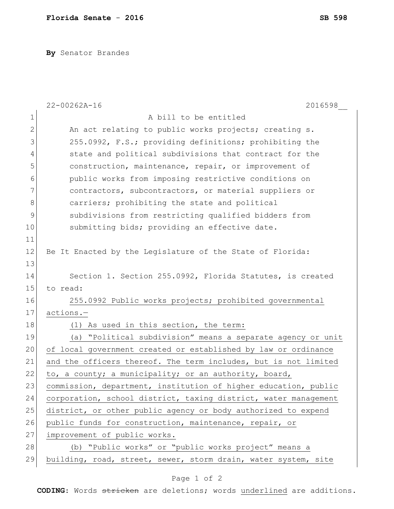**By** Senator Brandes

|              | $22 - 00262A - 16$<br>2016598                                   |
|--------------|-----------------------------------------------------------------|
| 1            | A bill to be entitled                                           |
| $\mathbf{2}$ | An act relating to public works projects; creating s.           |
| 3            | 255.0992, F.S.; providing definitions; prohibiting the          |
| 4            | state and political subdivisions that contract for the          |
| 5            | construction, maintenance, repair, or improvement of            |
| 6            | public works from imposing restrictive conditions on            |
| 7            | contractors, subcontractors, or material suppliers or           |
| 8            | carriers; prohibiting the state and political                   |
| 9            | subdivisions from restricting qualified bidders from            |
| 10           | submitting bids; providing an effective date.                   |
| 11           |                                                                 |
| 12           | Be It Enacted by the Legislature of the State of Florida:       |
| 13           |                                                                 |
| 14           | Section 1. Section 255.0992, Florida Statutes, is created       |
| 15           | to read:                                                        |
| 16           | 255.0992 Public works projects; prohibited governmental         |
| 17           | actions.-                                                       |
| 18           | (1) As used in this section, the term:                          |
| 19           | "Political subdivision" means a separate agency or unit<br>(a)  |
| 20           | of local government created or established by law or ordinance  |
| 21           | and the officers thereof. The term includes, but is not limited |
| 22           | to, a county; a municipality; or an authority, board,           |
| 23           | commission, department, institution of higher education, public |
| 24           | corporation, school district, taxing district, water management |
| 25           | district, or other public agency or body authorized to expend   |
| 26           | public funds for construction, maintenance, repair, or          |
| 27           | improvement of public works.                                    |
| 28           | (b) "Public works" or "public works project" means a            |
| 29           | building, road, street, sewer, storm drain, water system, site  |

## Page 1 of 2

**CODING**: Words stricken are deletions; words underlined are additions.